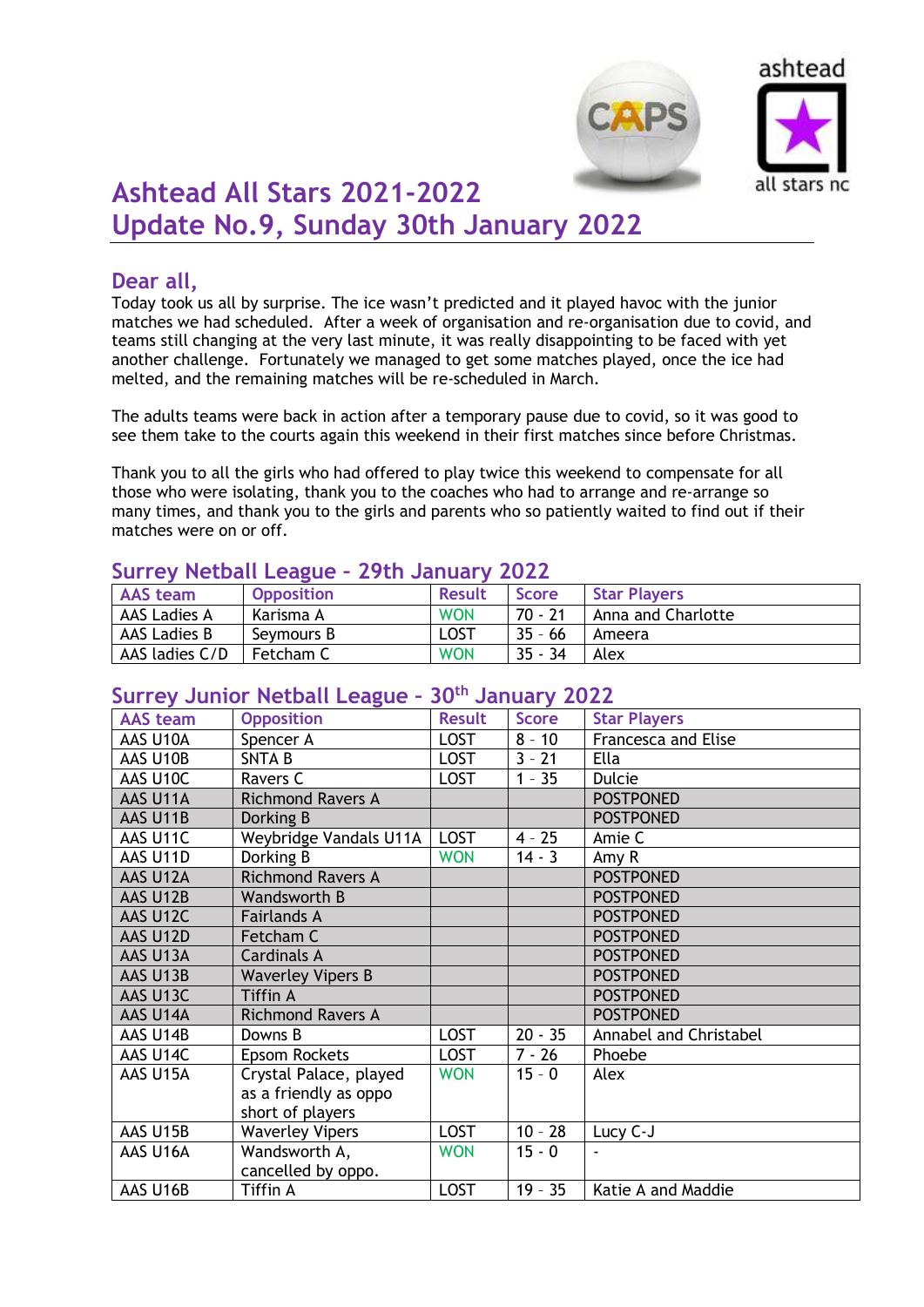



# **Ashtead All Stars 2021-2022 Update No.9, Sunday 30th January 2022**

# **Dear all,**

Today took us all by surprise. The ice wasn't predicted and it played havoc with the junior matches we had scheduled. After a week of organisation and re-organisation due to covid, and teams still changing at the very last minute, it was really disappointing to be faced with yet another challenge. Fortunately we managed to get some matches played, once the ice had melted, and the remaining matches will be re-scheduled in March.

The adults teams were back in action after a temporary pause due to covid, so it was good to see them take to the courts again this weekend in their first matches since before Christmas.

Thank you to all the girls who had offered to play twice this weekend to compensate for all those who were isolating, thank you to the coaches who had to arrange and re-arrange so many times, and thank you to the girls and parents who so patiently waited to find out if their matches were on or off.

#### **Surrey Netball League – 29th January 2022**

| ______         |                   |               |              |                     |  |  |
|----------------|-------------------|---------------|--------------|---------------------|--|--|
| AAS team       | <b>Opposition</b> | <b>Result</b> | <b>Score</b> | <b>Star Players</b> |  |  |
| AAS Ladies A   | Karisma A         | <b>WON</b>    | 70 - 21      | Anna and Charlotte  |  |  |
| AAS Ladies B   | Sevmours B        | LOST          | $35 - 66$    | Ameera              |  |  |
| AAS ladies C/D | Fetcham C         | <b>WON</b>    | $35 - 34$    | Alex                |  |  |

# **Surrey Junior Netball League – 30th January 2022**

| <b>AAS</b> team | <b>Opposition</b>        | <b>Result</b> | <b>Score</b> | <b>Star Players</b>    |
|-----------------|--------------------------|---------------|--------------|------------------------|
| AAS U10A        | Spencer A                | <b>LOST</b>   | $8 - 10$     | Francesca and Elise    |
| AAS U10B        | <b>SNTAB</b>             | <b>LOST</b>   | $3 - 21$     | Ella                   |
| AAS U10C        | Ravers C                 | <b>LOST</b>   | $1 - 35$     | <b>Dulcie</b>          |
| AAS U11A        | <b>Richmond Ravers A</b> |               |              | <b>POSTPONED</b>       |
| AAS U11B        | Dorking B                |               |              | <b>POSTPONED</b>       |
| AAS U11C        | Weybridge Vandals U11A   | <b>LOST</b>   | $4 - 25$     | Amie C                 |
| AAS U11D        | Dorking B                | <b>WON</b>    | $14 - 3$     | Amy R                  |
| AAS U12A        | <b>Richmond Ravers A</b> |               |              | <b>POSTPONED</b>       |
| AAS U12B        | <b>Wandsworth B</b>      |               |              | <b>POSTPONED</b>       |
| AAS U12C        | <b>Fairlands A</b>       |               |              | <b>POSTPONED</b>       |
| AAS U12D        | Fetcham C                |               |              | <b>POSTPONED</b>       |
| AAS U13A        | <b>Cardinals A</b>       |               |              | <b>POSTPONED</b>       |
| AAS U13B        | <b>Waverley Vipers B</b> |               |              | <b>POSTPONED</b>       |
| AAS U13C        | <b>Tiffin A</b>          |               |              | <b>POSTPONED</b>       |
| AAS U14A        | <b>Richmond Ravers A</b> |               |              | <b>POSTPONED</b>       |
| AAS U14B        | Downs B                  | <b>LOST</b>   | $20 - 35$    | Annabel and Christabel |
| AAS U14C        | Epsom Rockets            | <b>LOST</b>   | $7 - 26$     | Phoebe                 |
| AAS U15A        | Crystal Palace, played   | <b>WON</b>    | $15 - 0$     | Alex                   |
|                 | as a friendly as oppo    |               |              |                        |
|                 | short of players         |               |              |                        |
| AAS U15B        | <b>Waverley Vipers</b>   | <b>LOST</b>   | $10 - 28$    | Lucy C-J               |
| AAS U16A        | Wandsworth A,            | <b>WON</b>    | $15 - 0$     | $\blacksquare$         |
|                 | cancelled by oppo.       |               |              |                        |
| AAS U16B        | Tiffin A                 | <b>LOST</b>   | $19 - 35$    | Katie A and Maddie     |